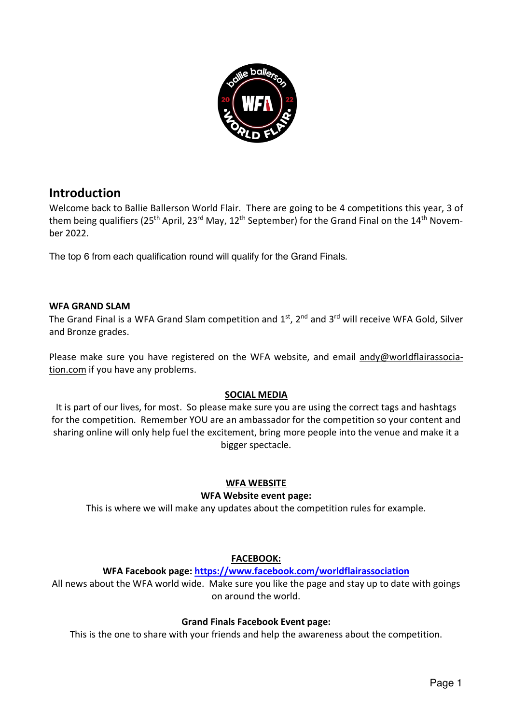

# **Introduction**

Welcome back to Ballie Ballerson World Flair. There are going to be 4 competitions this year, 3 of them being qualifiers (25<sup>th</sup> April, 23<sup>rd</sup> May, 12<sup>th</sup> September) for the Grand Final on the 14<sup>th</sup> November 2022.

The top 6 from each qualification round will qualify for the Grand Finals.

### **WFA GRAND SLAM**

The Grand Final is a WFA Grand Slam competition and  $1<sup>st</sup>$ ,  $2<sup>nd</sup>$  and  $3<sup>rd</sup>$  will receive WFA Gold, Silver and Bronze grades.

Please make sure you have registered on the WFA website, and email andy@worldflairassociation.com if you have any problems.

### **SOCIAL MEDIA**

It is part of our lives, for most. So please make sure you are using the correct tags and hashtags for the competition. Remember YOU are an ambassador for the competition so your content and sharing online will only help fuel the excitement, bring more people into the venue and make it a bigger spectacle.

### **WFA WEBSITE**

### **WFA Website event page:**

This is where we will make any updates about the competition rules for example.

### **FACEBOOK:**

### **WFA Facebook page: https://www.facebook.com/worldflairassociation**

All news about the WFA world wide. Make sure you like the page and stay up to date with goings on around the world.

### **Grand Finals Facebook Event page:**

This is the one to share with your friends and help the awareness about the competition.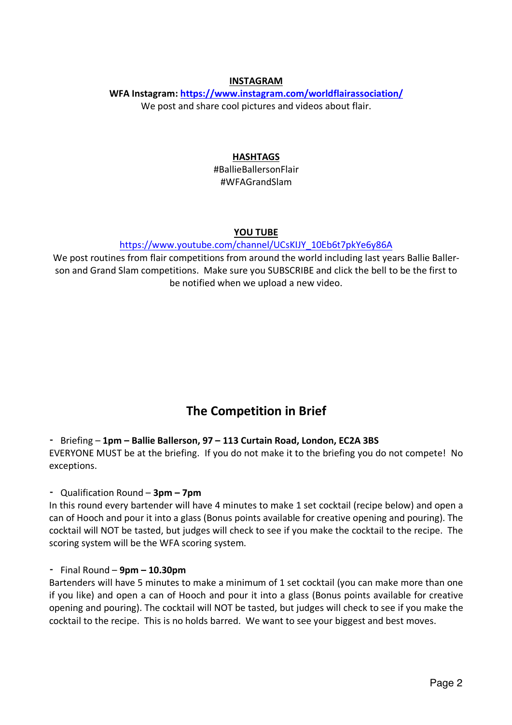### **INSTAGRAM**

### **WFA Instagram: https://www.instagram.com/worldflairassociation/** We post and share cool pictures and videos about flair.

### **HASHTAGS**

#BallieBallersonFlair #WFAGrandSlam

#### **YOU TUBE**

### https://www.youtube.com/channel/UCsKIJY\_10Eb6t7pkYe6y86A

We post routines from flair competitions from around the world including last years Ballie Ballerson and Grand Slam competitions. Make sure you SUBSCRIBE and click the bell to be the first to be notified when we upload a new video.

# **The Competition in Brief**

- Briefing – **1pm – Ballie Ballerson, 97 – 113 Curtain Road, London, EC2A 3BS**

EVERYONE MUST be at the briefing. If you do not make it to the briefing you do not compete! No exceptions.

- Qualification Round – **3pm – 7pm**

In this round every bartender will have 4 minutes to make 1 set cocktail (recipe below) and open a can of Hooch and pour it into a glass (Bonus points available for creative opening and pouring). The cocktail will NOT be tasted, but judges will check to see if you make the cocktail to the recipe. The scoring system will be the WFA scoring system.

#### - Final Round – **9pm – 10.30pm**

Bartenders will have 5 minutes to make a minimum of 1 set cocktail (you can make more than one if you like) and open a can of Hooch and pour it into a glass (Bonus points available for creative opening and pouring). The cocktail will NOT be tasted, but judges will check to see if you make the cocktail to the recipe. This is no holds barred. We want to see your biggest and best moves.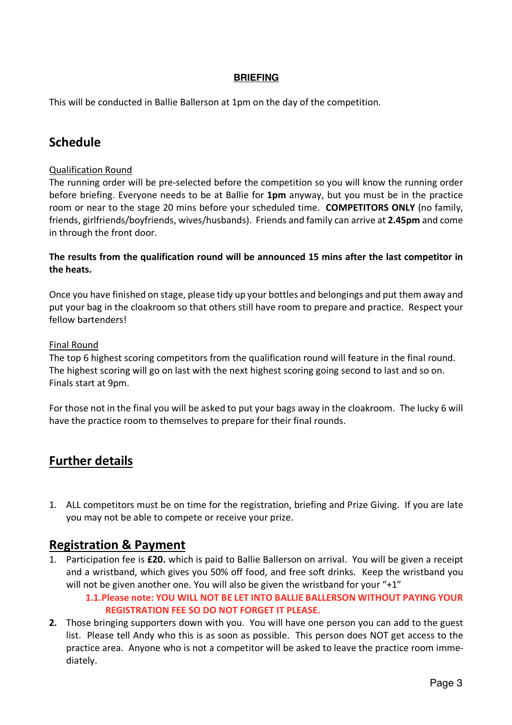### **BRIEFING**

This will be conducted in Ballie Ballerson at 1pm on the day of the competition.

# **Schedule**

### Qualification Round

The running order will be pre-selected before the competition so you will know the running order before briefing. Everyone needs to be at Ballie for **1pm** anyway, but you must be in the practice room or near to the stage 20 mins before your scheduled time. **COMPETITORS ONLY** (no family, friends, girlfriends/boyfriends, wives/husbands). Friends and family can arrive at **2.45pm** and come in through the front door.

### **The results from the qualification round will be announced 15 mins after the last competitor in the heats.**

Once you have finished on stage, please tidy up your bottles and belongings and put them away and put your bag in the cloakroom so that others still have room to prepare and practice. Respect your fellow bartenders!

### Final Round

The top 6 highest scoring competitors from the qualification round will feature in the final round. The highest scoring will go on last with the next highest scoring going second to last and so on. Finals start at 9pm.

For those not in the final you will be asked to put your bags away in the cloakroom. The lucky 6 will have the practice room to themselves to prepare for their final rounds.

# **Further details**

1. ALL competitors must be on time for the registration, briefing and Prize Giving. If you are late you may not be able to compete or receive your prize.

## **Registration & Payment**

1. Participation fee is **£20.** which is paid to Ballie Ballerson on arrival. You will be given a receipt and a wristband, which gives you 50% off food, and free soft drinks. Keep the wristband you will not be given another one. You will also be given the wristband for your "+1"

**1.1.Please note: YOU WILL NOT BE LET INTO BALLIE BALLERSON WITHOUT PAYING YOUR REGISTRATION FEE SO DO NOT FORGET IT PLEASE.** 

**2.** Those bringing supporters down with you. You will have one person you can add to the guest list. Please tell Andy who this is as soon as possible. This person does NOT get access to the practice area. Anyone who is not a competitor will be asked to leave the practice room immediately.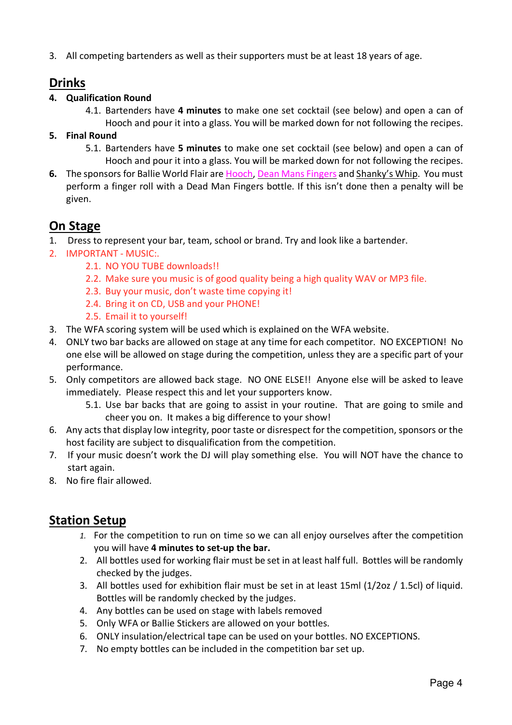3. All competing bartenders as well as their supporters must be at least 18 years of age.

# **Drinks**

### **4. Qualification Round**

- 4.1. Bartenders have **4 minutes** to make one set cocktail (see below) and open a can of Hooch and pour it into a glass. You will be marked down for not following the recipes.
- **5. Final Round**
	- 5.1. Bartenders have **5 minutes** to make one set cocktail (see below) and open a can of Hooch and pour it into a glass. You will be marked down for not following the recipes.
- **6.** The sponsors for Ballie World Flair are Hooch, Dean Mans Fingers and Shanky's Whip. You must perform a finger roll with a Dead Man Fingers bottle. If this isn't done then a penalty will be given.

# **On Stage**

- 1. Dress to represent your bar, team, school or brand. Try and look like a bartender.
- 2. IMPORTANT MUSIC:.
	- 2.1. NO YOU TUBE downloads!!
	- 2.2. Make sure you music is of good quality being a high quality WAV or MP3 file.
	- 2.3. Buy your music, don't waste time copying it!
	- 2.4. Bring it on CD, USB and your PHONE!
	- 2.5. Email it to yourself!
- 3. The WFA scoring system will be used which is explained on the WFA website.
- 4. ONLY two bar backs are allowed on stage at any time for each competitor. NO EXCEPTION! No one else will be allowed on stage during the competition, unless they are a specific part of your performance.
- 5. Only competitors are allowed back stage. NO ONE ELSE!! Anyone else will be asked to leave immediately. Please respect this and let your supporters know.
	- 5.1. Use bar backs that are going to assist in your routine. That are going to smile and cheer you on. It makes a big difference to your show!
- 6. Any acts that display low integrity, poor taste or disrespect for the competition, sponsors or the host facility are subject to disqualification from the competition.
- 7. If your music doesn't work the DJ will play something else. You will NOT have the chance to start again.
- 8. No fire flair allowed.

# **Station Setup**

- *1.* For the competition to run on time so we can all enjoy ourselves after the competition you will have **4 minutes to set-up the bar.**
- 2. All bottles used for working flair must be set in at least half full. Bottles will be randomly checked by the judges.
- 3. All bottles used for exhibition flair must be set in at least 15ml (1/2oz / 1.5cl) of liquid. Bottles will be randomly checked by the judges.
- 4. Any bottles can be used on stage with labels removed
- 5. Only WFA or Ballie Stickers are allowed on your bottles.
- 6. ONLY insulation/electrical tape can be used on your bottles. NO EXCEPTIONS.
- 7. No empty bottles can be included in the competition bar set up.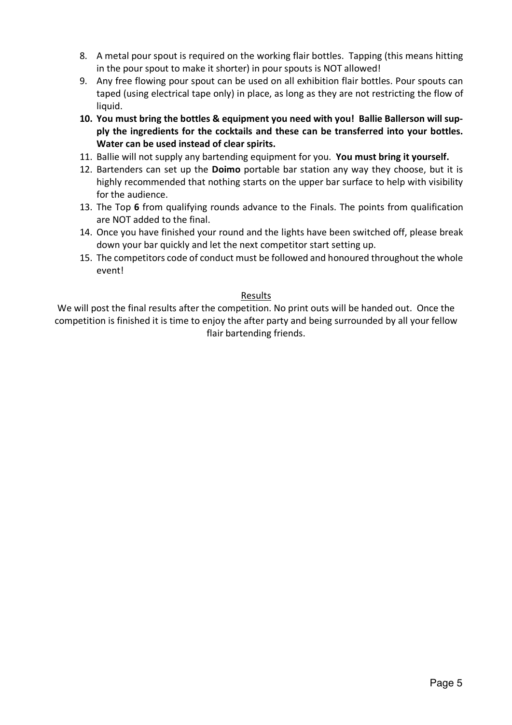- 8. A metal pour spout is required on the working flair bottles. Tapping (this means hitting in the pour spout to make it shorter) in pour spouts is NOT allowed!
- 9. Any free flowing pour spout can be used on all exhibition flair bottles. Pour spouts can taped (using electrical tape only) in place, as long as they are not restricting the flow of liquid.
- **10. You must bring the bottles & equipment you need with you! Ballie Ballerson will supply the ingredients for the cocktails and these can be transferred into your bottles. Water can be used instead of clear spirits.**
- 11. Ballie will not supply any bartending equipment for you. **You must bring it yourself.**
- 12. Bartenders can set up the **Doimo** portable bar station any way they choose, but it is highly recommended that nothing starts on the upper bar surface to help with visibility for the audience.
- 13. The Top **6** from qualifying rounds advance to the Finals. The points from qualification are NOT added to the final.
- 14. Once you have finished your round and the lights have been switched off, please break down your bar quickly and let the next competitor start setting up.
- 15. The competitors code of conduct must be followed and honoured throughout the whole event!

### Results

We will post the final results after the competition. No print outs will be handed out. Once the competition is finished it is time to enjoy the after party and being surrounded by all your fellow flair bartending friends.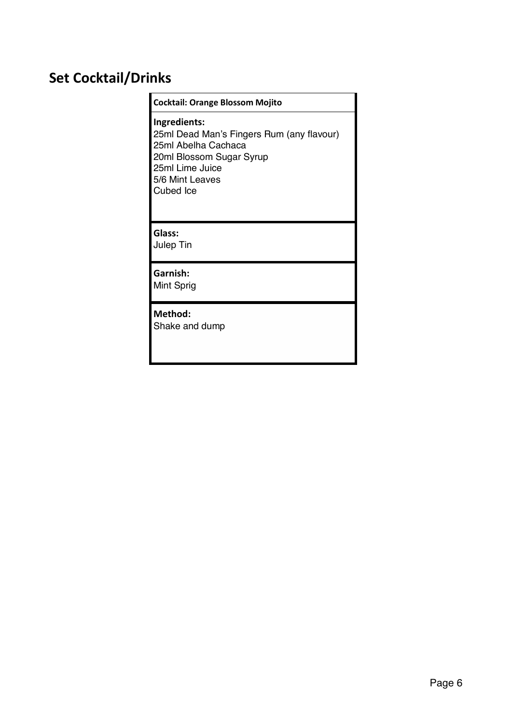# **Set Cocktail/Drinks**

#### **Cocktail: Orange Blossom Mojito**

**Ingredients:** 25ml Dead Man's Fingers Rum (any flavour) 25ml Abelha Cachaca 20ml Blossom Sugar Syrup 25ml Lime Juice 5/6 Mint Leaves Cubed Ice

### **Glass:**

Julep Tin

**Garnish:** Mint Sprig

### **Method:**

Shake and dump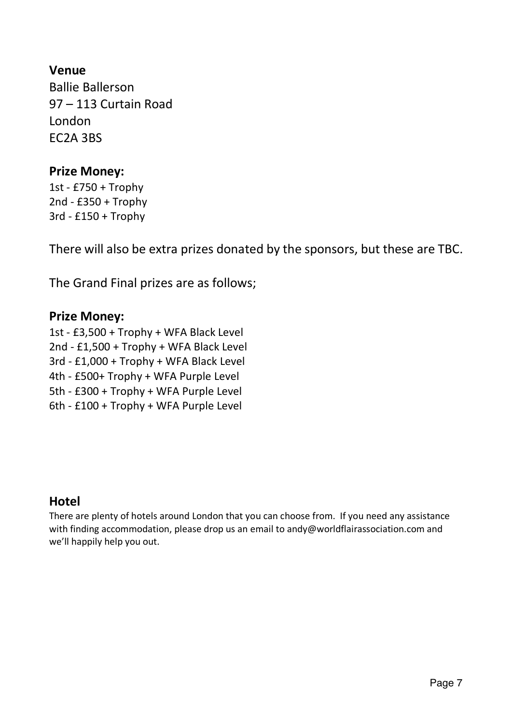# **Venue**

Ballie Ballerson 97 – 113 Curtain Road London EC2A 3BS

# **Prize Money:**

1st - £750 + Trophy 2nd - £350 + Trophy 3rd - £150 + Trophy

There will also be extra prizes donated by the sponsors, but these are TBC.

The Grand Final prizes are as follows;

# **Prize Money:**

1st - £3,500 + Trophy + WFA Black Level 2nd - £1,500 + Trophy + WFA Black Level 3rd - £1,000 + Trophy + WFA Black Level 4th - £500+ Trophy + WFA Purple Level 5th - £300 + Trophy + WFA Purple Level 6th - £100 + Trophy + WFA Purple Level

# **Hotel**

There are plenty of hotels around London that you can choose from. If you need any assistance with finding accommodation, please drop us an email to andy@worldflairassociation.com and we'll happily help you out.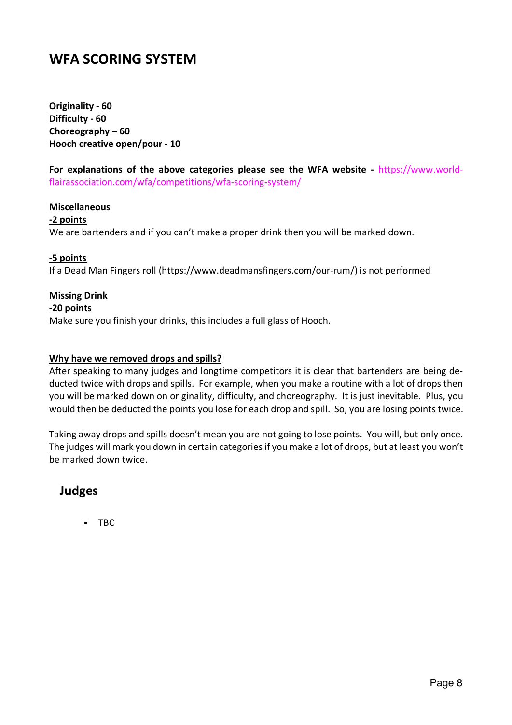# **WFA SCORING SYSTEM**

**Originality - 60 Difficulty - 60 Choreography – 60 Hooch creative open/pour - 10**

**For explanations of the above categories please see the WFA website -** https://www.worldflairassociation.com/wfa/competitions/wfa-scoring-system/

#### **Miscellaneous**

#### **-2 points**

We are bartenders and if you can't make a proper drink then you will be marked down.

#### **-5 points**

If a Dead Man Fingers roll (https://www.deadmansfingers.com/our-rum/) is not performed

### **Missing Drink**

#### **-20 points**

Make sure you finish your drinks, this includes a full glass of Hooch.

#### **Why have we removed drops and spills?**

After speaking to many judges and longtime competitors it is clear that bartenders are being deducted twice with drops and spills. For example, when you make a routine with a lot of drops then you will be marked down on originality, difficulty, and choreography. It is just inevitable. Plus, you would then be deducted the points you lose for each drop and spill. So, you are losing points twice.

Taking away drops and spills doesn't mean you are not going to lose points. You will, but only once. The judges will mark you down in certain categories if you make a lot of drops, but at least you won't be marked down twice.

# **Judges**

• TBC